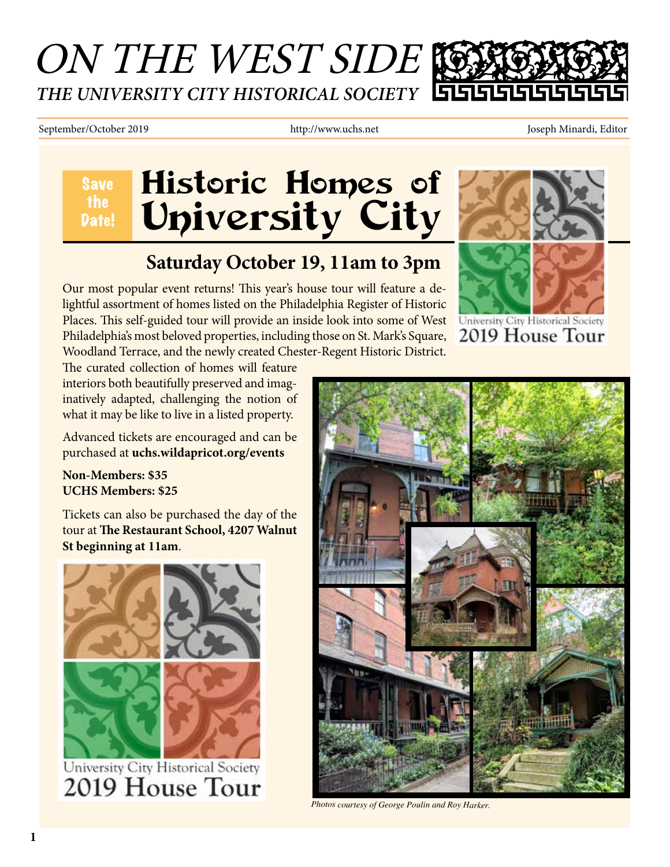# ON THE WEST SIDE *THE UNIVERSITY CITY HISTORICAL SOCIETY*

#### September/October 2019 http://www.uchs.net Joseph Minardi, Editor

Save the

 $\overline{a}$ 

# Historic Homes of Date! University City

### **Saturday October 19, 11am to 3pm**

Our most popular event returns! This year's house tour will feature a delightful assortment of homes listed on the Philadelphia Register of Historic Places. This self-guided tour will provide an inside look into some of West Philadelphia's most beloved properties, including those on St. Mark's Square, Woodland Terrace, and the newly created Chester-Regent Historic District.



University City Historical Society 2019 House Tour

The curated collection of homes will feature interiors both beautifully preserved and imaginatively adapted, challenging the notion of what it may be like to live in a listed property.

Advanced tickets are encouraged and can be purchased at **uchs.wildapricot.org/events** 

**Non-Members: \$35 UCHS Members: \$25**

Tickets can also be purchased the day of the tour at **The Restaurant School, 4207 Walnut St beginning at 11am**.



University City Historical Society 2019 House Tour



*Photos courtesy of George Poulin and Roy Harker.*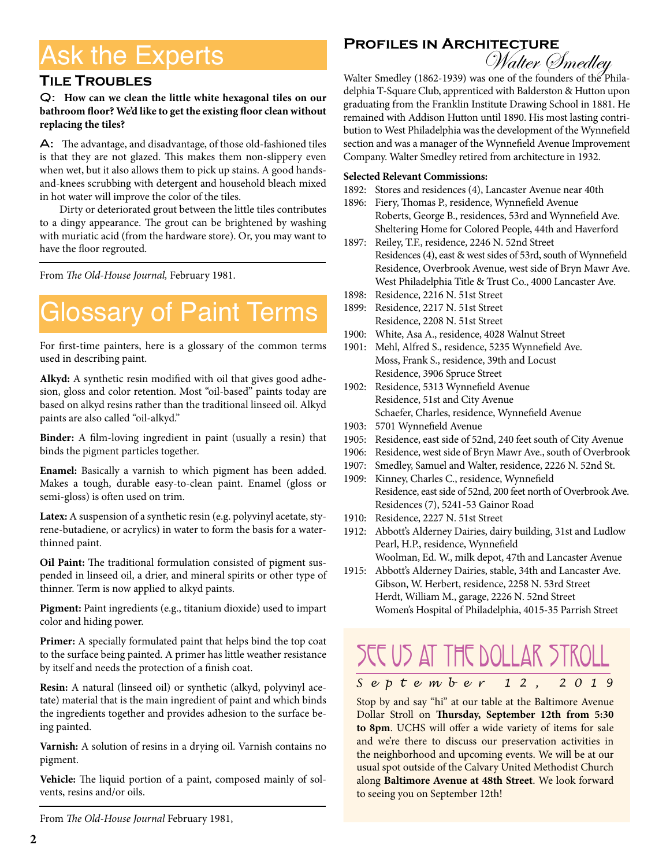## Ask the Experts

#### **Tile Troubles**

#### Q: **How can we clean the little white hexagonal tiles on our bathroom floor? We'd like to get the existing floor clean without replacing the tiles?**

A: The advantage, and disadvantage, of those old-fashioned tiles is that they are not glazed. This makes them non-slippery even when wet, but it also allows them to pick up stains. A good handsand-knees scrubbing with detergent and household bleach mixed in hot water will improve the color of the tiles.

Dirty or deteriorated grout between the little tiles contributes to a dingy appearance. The grout can be brightened by washing with muriatic acid (from the hardware store). Or, you may want to have the floor regrouted.

From *The Old-House Journal,* February 1981.

## Glossary of Paint Terms

For first-time painters, here is a glossary of the common terms used in describing paint.

**Alkyd:** A synthetic resin modified with oil that gives good adhesion, gloss and color retention. Most "oil-based" paints today are based on alkyd resins rather than the traditional linseed oil. Alkyd paints are also called "oil-alkyd."

**Binder:** A film-loving ingredient in paint (usually a resin) that binds the pigment particles together.

**Enamel:** Basically a varnish to which pigment has been added. Makes a tough, durable easy-to-clean paint. Enamel (gloss or semi-gloss) is often used on trim.

**Latex:** A suspension of a synthetic resin (e.g. polyvinyl acetate, styrene-butadiene, or acrylics) in water to form the basis for a waterthinned paint.

**Oil Paint:** The traditional formulation consisted of pigment suspended in linseed oil, a drier, and mineral spirits or other type of thinner. Term is now applied to alkyd paints.

**Pigment:** Paint ingredients (e.g., titanium dioxide) used to impart color and hiding power.

**Primer:** A specially formulated paint that helps bind the top coat to the surface being painted. A primer has little weather resistance by itself and needs the protection of a finish coat.

**Resin:** A natural (linseed oil) or synthetic (alkyd, polyvinyl acetate) material that is the main ingredient of paint and which binds the ingredients together and provides adhesion to the surface being painted.

**Varnish:** A solution of resins in a drying oil. Varnish contains no pigment.

**Vehicle:** The liquid portion of a paint, composed mainly of solvents, resins and/or oils.

From *The Old-House Journal* February 1981,

# **Profiles in Architecture** Walter Smedley



Walter Smedley (1862-1939) was one of the founders of the Philadelphia T-Square Club, apprenticed with Balderston & Hutton upon graduating from the Franklin Institute Drawing School in 1881. He remained with Addison Hutton until 1890. His most lasting contribution to West Philadelphia was the development of the Wynnefield section and was a manager of the Wynnefield Avenue Improvement Company. Walter Smedley retired from architecture in 1932.

#### **Selected Relevant Commissions:**

- 1892: Stores and residences (4), Lancaster Avenue near 40th
- 1896: Fiery, Thomas P., residence, Wynnefield Avenue Roberts, George B., residences, 53rd and Wynnefield Ave. Sheltering Home for Colored People, 44th and Haverford
- 1897: Reiley, T.F., residence, 2246 N. 52nd Street Residences (4), east & west sides of 53rd, south of Wynnefield Residence, Overbrook Avenue, west side of Bryn Mawr Ave. West Philadelphia Title & Trust Co., 4000 Lancaster Ave.
- 1898: Residence, 2216 N. 51st Street
- 1899: Residence, 2217 N. 51st Street Residence, 2208 N. 51st Street
- 1900: White, Asa A., residence, 4028 Walnut Street
- 1901: Mehl, Alfred S., residence, 5235 Wynnefield Ave. Moss, Frank S., residence, 39th and Locust Residence, 3906 Spruce Street
- 1902: Residence, 5313 Wynnefield Avenue Residence, 51st and City Avenue Schaefer, Charles, residence, Wynnefield Avenue
- 1903: 5701 Wynnefield Avenue
- 1905: Residence, east side of 52nd, 240 feet south of City Avenue
- 1906: Residence, west side of Bryn Mawr Ave., south of Overbrook
- 1907: Smedley, Samuel and Walter, residence, 2226 N. 52nd St.
- 1909: Kinney, Charles C., residence, Wynnefield Residence, east side of 52nd, 200 feet north of Overbrook Ave. Residences (7), 5241-53 Gainor Road
- 1910: Residence, 2227 N. 51st Street
- 1912: Abbott's Alderney Dairies, dairy building, 31st and Ludlow Pearl, H.P., residence, Wynnefield Woolman, Ed. W., milk depot, 47th and Lancaster Avenue
- 1915: Abbott's Alderney Dairies, stable, 34th and Lancaster Ave. Gibson, W. Herbert, residence, 2258 N. 53rd Street Herdt, William M., garage, 2226 N. 52nd Street Women's Hospital of Philadelphia, 4015-35 Parrish Street

# SEE US AT THE DOLLAR STROLL

*September 12, 2019*

Stop by and say "hi" at our table at the Baltimore Avenue Dollar Stroll on **Thursday, September 12th from 5:30 to 8pm**. UCHS will offer a wide variety of items for sale and we're there to discuss our preservation activities in the neighborhood and upcoming events. We will be at our usual spot outside of the Calvary United Methodist Church along **Baltimore Avenue at 48th Street**. We look forward to seeing you on September 12th!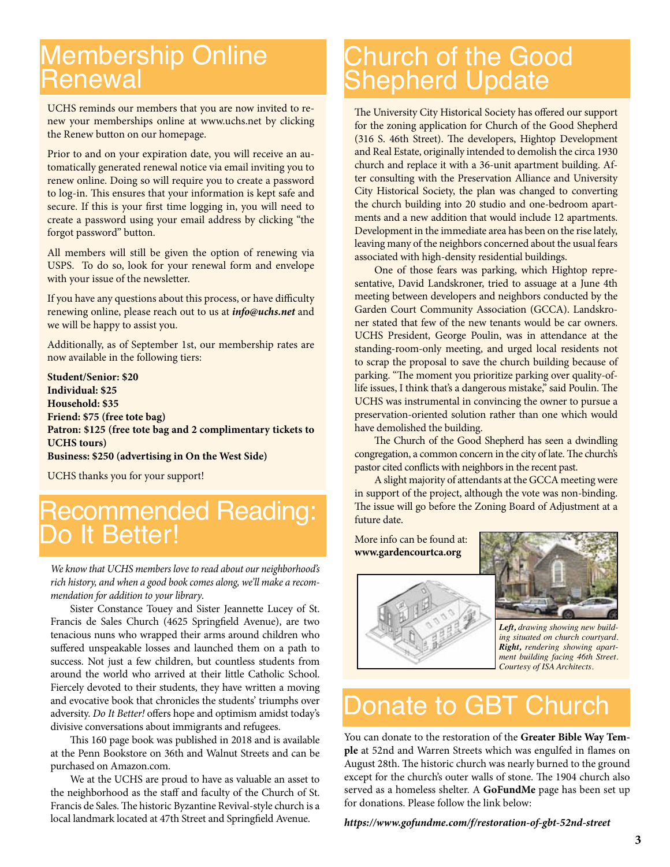### Membership Online Renewal

UCHS reminds our members that you are now invited to renew your memberships online at www.uchs.net by clicking the Renew button on our homepage.

Prior to and on your expiration date, you will receive an automatically generated renewal notice via email inviting you to renew online. Doing so will require you to create a password to log-in. This ensures that your information is kept safe and secure. If this is your first time logging in, you will need to create a password using your email address by clicking "the forgot password" button.

All members will still be given the option of renewing via USPS. To do so, look for your renewal form and envelope with your issue of the newsletter.

If you have any questions about this process, or have difficulty renewing online, please reach out to us at *info@uchs.net* and we will be happy to assist you.

Additionally, as of September 1st, our membership rates are now available in the following tiers:

**Student/Senior: \$20 Individual: \$25 Household: \$35 Friend: \$75 (free tote bag) Patron: \$125 (free tote bag and 2 complimentary tickets to UCHS tours) Business: \$250 (advertising in On the West Side)**

UCHS thanks you for your support!

### Recommended Reading: Do It Better!

*We know that UCHS members love to read about our neighborhood's rich history, and when a good book comes along, we'll make a recommendation for addition to your library*.

Sister Constance Touey and Sister Jeannette Lucey of St. Francis de Sales Church (4625 Springfield Avenue), are two tenacious nuns who wrapped their arms around children who suffered unspeakable losses and launched them on a path to success. Not just a few children, but countless students from around the world who arrived at their little Catholic School. Fiercely devoted to their students, they have written a moving and evocative book that chronicles the students' triumphs over adversity. *Do It Better!* offers hope and optimism amidst today's divisive conversations about immigrants and refugees.

This 160 page book was published in 2018 and is available at the Penn Bookstore on 36th and Walnut Streets and can be purchased on Amazon.com.

We at the UCHS are proud to have as valuable an asset to the neighborhood as the staff and faculty of the Church of St. Francis de Sales. The historic Byzantine Revival-style church is a local landmark located at 47th Street and Springfield Avenue.

### Church of the Good Shepherd Update

The University City Historical Society has offered our support for the zoning application for Church of the Good Shepherd (316 S. 46th Street). The developers, Hightop Development and Real Estate, originally intended to demolish the circa 1930 church and replace it with a 36-unit apartment building. After consulting with the Preservation Alliance and University City Historical Society, the plan was changed to converting the church building into 20 studio and one-bedroom apartments and a new addition that would include 12 apartments. Development in the immediate area has been on the rise lately, leaving many of the neighbors concerned about the usual fears associated with high-density residential buildings.

One of those fears was parking, which Hightop representative, David Landskroner, tried to assuage at a June 4th meeting between developers and neighbors conducted by the Garden Court Community Association (GCCA). Landskroner stated that few of the new tenants would be car owners. UCHS President, George Poulin, was in attendance at the standing-room-only meeting, and urged local residents not to scrap the proposal to save the church building because of parking. "The moment you prioritize parking over quality-oflife issues, I think that's a dangerous mistake," said Poulin. The UCHS was instrumental in convincing the owner to pursue a preservation-oriented solution rather than one which would have demolished the building.

The Church of the Good Shepherd has seen a dwindling congregation, a common concern in the city of late. The church's pastor cited conflicts with neighbors in the recent past.

A slight majority of attendants at the GCCA meeting were in support of the project, although the vote was non-binding. The issue will go before the Zoning Board of Adjustment at a future date.

More info can be found at: **www.gardencourtca.org**





*Left, drawing showing new building situated on church courtyard. Right, rendering showing apartment building facing 46th Street. Courtesy of ISA Architects.*

## Donate to GBT Church

You can donate to the restoration of the **Greater Bible Way Temple** at 52nd and Warren Streets which was engulfed in flames on August 28th. The historic church was nearly burned to the ground except for the church's outer walls of stone. The 1904 church also served as a homeless shelter. A **GoFundMe** page has been set up for donations. Please follow the link below:

*https://www.gofundme.com/f/restoration-of-gbt-52nd-street*